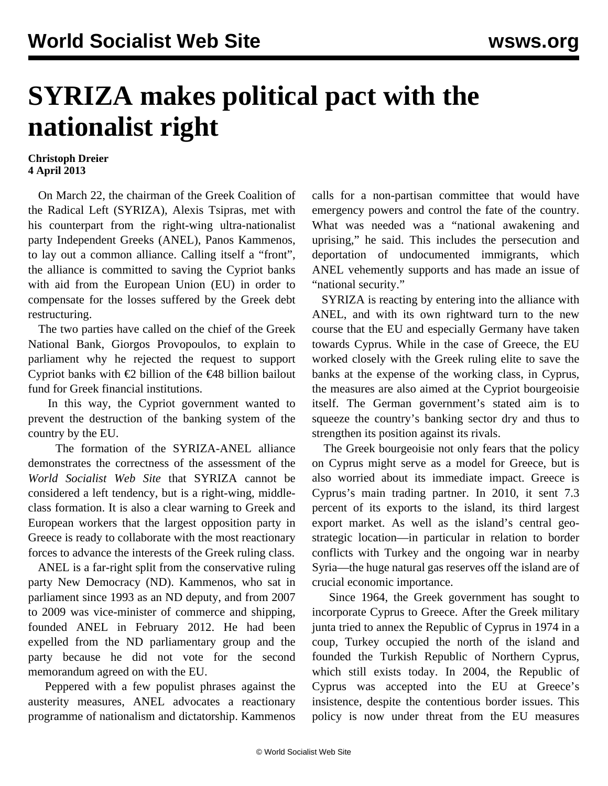## **SYRIZA makes political pact with the nationalist right**

## **Christoph Dreier 4 April 2013**

 On March 22, the chairman of the Greek Coalition of the Radical Left (SYRIZA), Alexis Tsipras, met with his counterpart from the right-wing ultra-nationalist party Independent Greeks (ANEL), Panos Kammenos, to lay out a common alliance. Calling itself a "front", the alliance is committed to saving the Cypriot banks with aid from the European Union (EU) in order to compensate for the losses suffered by the Greek debt restructuring.

 The two parties have called on the chief of the Greek National Bank, Giorgos Provopoulos, to explain to parliament why he rejected the request to support Cypriot banks with  $\epsilon$ 2 billion of the  $\epsilon$ 48 billion bailout fund for Greek financial institutions.

 In this way, the Cypriot government wanted to prevent the destruction of the banking system of the country by the EU.

 The formation of the SYRIZA-ANEL alliance demonstrates the correctness of the assessment of the *World Socialist Web Site* that SYRIZA cannot be considered a left tendency, but is a right-wing, middleclass formation. It is also a clear warning to Greek and European workers that the largest opposition party in Greece is ready to collaborate with the most reactionary forces to advance the interests of the Greek ruling class.

 ANEL is a far-right split from the conservative ruling party New Democracy (ND). Kammenos, who sat in parliament since 1993 as an ND deputy, and from 2007 to 2009 was vice-minister of commerce and shipping, founded ANEL in February 2012. He had been expelled from the ND parliamentary group and the party because he did not vote for the second memorandum agreed on with the EU.

 Peppered with a few populist phrases against the austerity measures, ANEL advocates a reactionary programme of nationalism and dictatorship. Kammenos calls for a non-partisan committee that would have emergency powers and control the fate of the country. What was needed was a "national awakening and uprising," he said. This includes the persecution and deportation of undocumented immigrants, which ANEL vehemently supports and has made an issue of "national security."

 SYRIZA is reacting by entering into the alliance with ANEL, and with its own rightward turn to the new course that the EU and especially Germany have taken towards Cyprus. While in the case of Greece, the EU worked closely with the Greek ruling elite to save the banks at the expense of the working class, in Cyprus, the measures are also aimed at the Cypriot bourgeoisie itself. The German government's stated aim is to squeeze the country's banking sector dry and thus to strengthen its position against its rivals.

 The Greek bourgeoisie not only fears that the policy on Cyprus might serve as a model for Greece, but is also worried about its immediate impact. Greece is Cyprus's main trading partner. In 2010, it sent 7.3 percent of its exports to the island, its third largest export market. As well as the island's central geostrategic location—in particular in relation to border conflicts with Turkey and the ongoing war in nearby Syria—the huge natural gas reserves off the island are of crucial economic importance.

 Since 1964, the Greek government has sought to incorporate Cyprus to Greece. After the Greek military junta tried to annex the Republic of Cyprus in 1974 in a coup, Turkey occupied the north of the island and founded the Turkish Republic of Northern Cyprus, which still exists today. In 2004, the Republic of Cyprus was accepted into the EU at Greece's insistence, despite the contentious border issues. This policy is now under threat from the EU measures